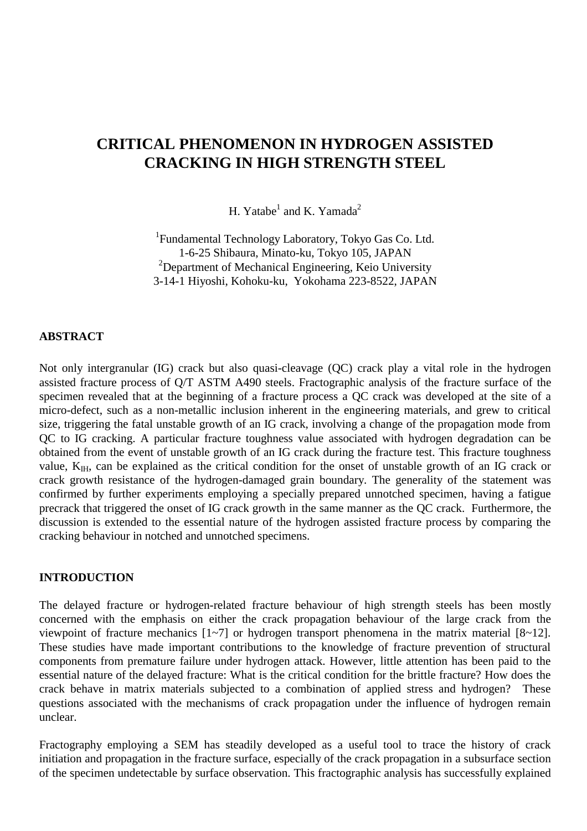# **CRITICAL PHENOMENON IN HYDROGEN ASSISTED CRACKING IN HIGH STRENGTH STEEL**

H. Yatabe $^1$  and K. Yamada<sup>2</sup>

<sup>1</sup>Fundamental Technology Laboratory, Tokyo Gas Co. Ltd. 1-6-25 Shibaura, Minato-ku, Tokyo 105, JAPAN <sup>2</sup>Department of Mechanical Engineering, Keio University 3-14-1 Hiyoshi, Kohoku-ku, Yokohama 223-8522, JAPAN

#### **ABSTRACT**

Not only intergranular (IG) crack but also quasi-cleavage (QC) crack play a vital role in the hydrogen assisted fracture process of Q/T ASTM A490 steels. Fractographic analysis of the fracture surface of the specimen revealed that at the beginning of a fracture process a QC crack was developed at the site of a micro-defect, such as a non-metallic inclusion inherent in the engineering materials, and grew to critical size, triggering the fatal unstable growth of an IG crack, involving a change of the propagation mode from QC to IG cracking. A particular fracture toughness value associated with hydrogen degradation can be obtained from the event of unstable growth of an IG crack during the fracture test. This fracture toughness value,  $K_{\text{IH}}$ , can be explained as the critical condition for the onset of unstable growth of an IG crack or crack growth resistance of the hydrogen-damaged grain boundary. The generality of the statement was confirmed by further experiments employing a specially prepared unnotched specimen, having a fatigue precrack that triggered the onset of IG crack growth in the same manner as the QC crack. Furthermore, the discussion is extended to the essential nature of the hydrogen assisted fracture process by comparing the cracking behaviour in notched and unnotched specimens.

### **INTRODUCTION**

The delayed fracture or hydrogen-related fracture behaviour of high strength steels has been mostly concerned with the emphasis on either the crack propagation behaviour of the large crack from the viewpoint of fracture mechanics [1~7] or hydrogen transport phenomena in the matrix material [8~12]. These studies have made important contributions to the knowledge of fracture prevention of structural components from premature failure under hydrogen attack. However, little attention has been paid to the essential nature of the delayed fracture: What is the critical condition for the brittle fracture? How does the crack behave in matrix materials subjected to a combination of applied stress and hydrogen? These questions associated with the mechanisms of crack propagation under the influence of hydrogen remain unclear.

Fractography employing a SEM has steadily developed as a useful tool to trace the history of crack initiation and propagation in the fracture surface, especially of the crack propagation in a subsurface section of the specimen undetectable by surface observation. This fractographic analysis has successfully explained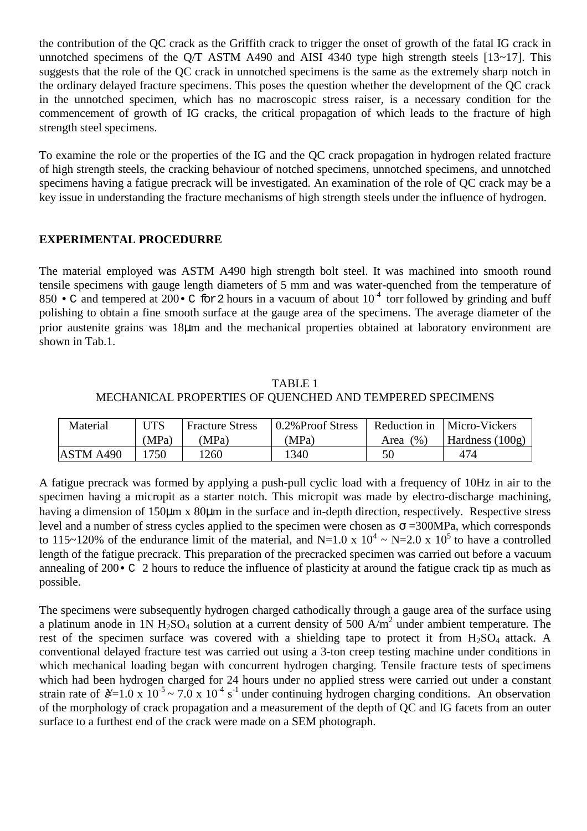the contribution of the QC crack as the Griffith crack to trigger the onset of growth of the fatal IG crack in unnotched specimens of the Q/T ASTM A490 and AISI 4340 type high strength steels  $[13~17]$ . This suggests that the role of the QC crack in unnotched specimens is the same as the extremely sharp notch in the ordinary delayed fracture specimens. This poses the question whether the development of the QC crack in the unnotched specimen, which has no macroscopic stress raiser, is a necessary condition for the commencement of growth of IG cracks, the critical propagation of which leads to the fracture of high strength steel specimens.

To examine the role or the properties of the IG and the QC crack propagation in hydrogen related fracture of high strength steels, the cracking behaviour of notched specimens, unnotched specimens, and unnotched specimens having a fatigue precrack will be investigated. An examination of the role of QC crack may be a key issue in understanding the fracture mechanisms of high strength steels under the influence of hydrogen.

## **EXPERIMENTAL PROCEDURRE**

The material employed was ASTM A490 high strength bolt steel. It was machined into smooth round tensile specimens with gauge length diameters of 5 mm and was water-quenched from the temperature of 850 • C and tempered at 200 • C for 2 hours in a vacuum of about  $10^{-4}$  torr followed by grinding and buff polishing to obtain a fine smooth surface at the gauge area of the specimens. The average diameter of the prior austenite grains was 18µm and the mechanical properties obtained at laboratory environment are shown in Tab.1.

TABLE 1 MECHANICAL PROPERTIES OF QUENCHED AND TEMPERED SPECIMENS

| Material  | UTS   | <b>Fracture Stress</b> | 0.2% Proof Stress | Reduction in | Micro-Vickers   |
|-----------|-------|------------------------|-------------------|--------------|-----------------|
|           | (MPa) | 'MPa)                  | (MPa)             | (96)<br>Area | Hardness (100g) |
| ASTM A490 | 750   | .260                   | 1340              | 50           | 474             |

A fatigue precrack was formed by applying a push-pull cyclic load with a frequency of 10Hz in air to the specimen having a micropit as a starter notch. This micropit was made by electro-discharge machining, having a dimension of 150um x 80um in the surface and in-depth direction, respectively. Respective stress level and a number of stress cycles applied to the specimen were chosen as  $\sigma = 300MPa$ , which corresponds to 115~120% of the endurance limit of the material, and N=1.0 x  $10^4$  ~ N=2.0 x  $10^5$  to have a controlled length of the fatigue precrack. This preparation of the precracked specimen was carried out before a vacuum annealing of 200•C 2 hours to reduce the influence of plasticity at around the fatigue crack tip as much as possible.

The specimens were subsequently hydrogen charged cathodically through a gauge area of the surface using a platinum anode in 1N  $H_2SO_4$  solution at a current density of 500 A/m<sup>2</sup> under ambient temperature. The rest of the specimen surface was covered with a shielding tape to protect it from  $H_2SO_4$  attack. A conventional delayed fracture test was carried out using a 3-ton creep testing machine under conditions in which mechanical loading began with concurrent hydrogen charging. Tensile fracture tests of specimens which had been hydrogen charged for 24 hours under no applied stress were carried out under a constant strain rate of  $\cancel{\alpha} = 1.0 \times 10^{-5} \sim 7.0 \times 10^{-4} \text{ s}^{-1}$  under continuing hydrogen charging conditions. An observation of the morphology of crack propagation and a measurement of the depth of QC and IG facets from an outer surface to a furthest end of the crack were made on a SEM photograph.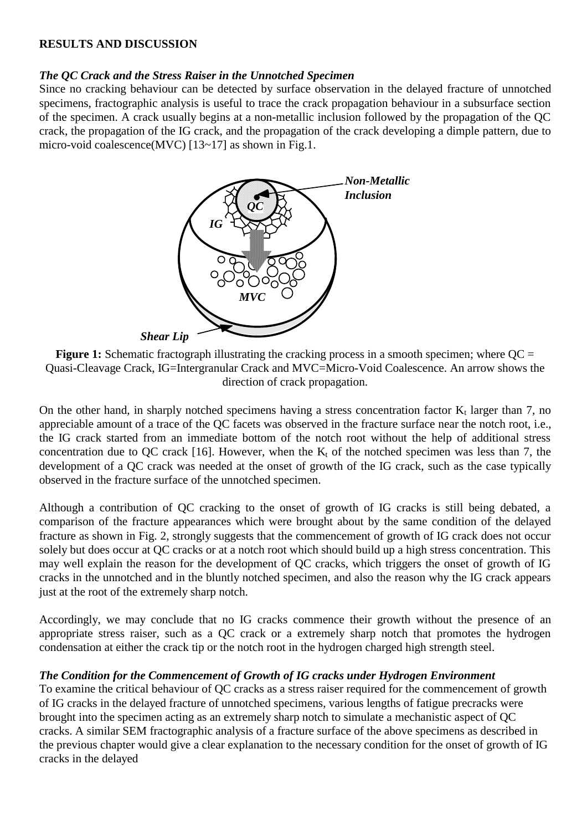## **RESULTS AND DISCUSSION**

## *The QC Crack and the Stress Raiser in the Unnotched Specimen*

Since no cracking behaviour can be detected by surface observation in the delayed fracture of unnotched specimens, fractographic analysis is useful to trace the crack propagation behaviour in a subsurface section of the specimen. A crack usually begins at a non-metallic inclusion followed by the propagation of the QC crack, the propagation of the IG crack, and the propagation of the crack developing a dimple pattern, due to micro-void coalescence(MVC) [13~17] as shown in Fig.1.



**Figure 1:** Schematic fractograph illustrating the cracking process in a smooth specimen; where  $OC =$ Quasi-Cleavage Crack, IG=Intergranular Crack and MVC=Micro-Void Coalescence. An arrow shows the direction of crack propagation.

On the other hand, in sharply notched specimens having a stress concentration factor  $K_t$  larger than 7, no appreciable amount of a trace of the QC facets was observed in the fracture surface near the notch root, i.e., the IG crack started from an immediate bottom of the notch root without the help of additional stress concentration due to OC crack [16]. However, when the  $K_t$  of the notched specimen was less than 7, the development of a QC crack was needed at the onset of growth of the IG crack, such as the case typically observed in the fracture surface of the unnotched specimen.

Although a contribution of QC cracking to the onset of growth of IG cracks is still being debated, a comparison of the fracture appearances which were brought about by the same condition of the delayed fracture as shown in Fig. 2, strongly suggests that the commencement of growth of IG crack does not occur solely but does occur at QC cracks or at a notch root which should build up a high stress concentration. This may well explain the reason for the development of QC cracks, which triggers the onset of growth of IG cracks in the unnotched and in the bluntly notched specimen, and also the reason why the IG crack appears just at the root of the extremely sharp notch.

Accordingly, we may conclude that no IG cracks commence their growth without the presence of an appropriate stress raiser, such as a QC crack or a extremely sharp notch that promotes the hydrogen condensation at either the crack tip or the notch root in the hydrogen charged high strength steel.

## *The Condition for the Commencement of Growth of IG cracks under Hydrogen Environment*

To examine the critical behaviour of QC cracks as a stress raiser required for the commencement of growth of IG cracks in the delayed fracture of unnotched specimens, various lengths of fatigue precracks were brought into the specimen acting as an extremely sharp notch to simulate a mechanistic aspect of QC cracks. A similar SEM fractographic analysis of a fracture surface of the above specimens as described in the previous chapter would give a clear explanation to the necessary condition for the onset of growth of IG cracks in the delayed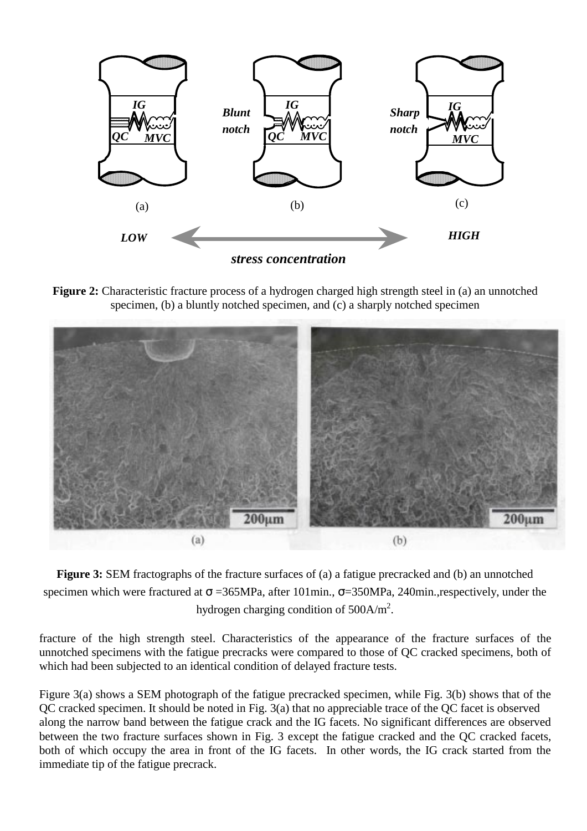

**Figure 2:** Characteristic fracture process of a hydrogen charged high strength steel in (a) an unnotched specimen, (b) a bluntly notched specimen, and (c) a sharply notched specimen



**Figure 3:** SEM fractographs of the fracture surfaces of (a) a fatigue precracked and (b) an unnotched specimen which were fractured at  $\sigma = 365 MPa$ , after 101min.,  $\sigma = 350 MPa$ , 240min.,respectively, under the hydrogen charging condition of  $500$ A/m<sup>2</sup>.

fracture of the high strength steel. Characteristics of the appearance of the fracture surfaces of the unnotched specimens with the fatigue precracks were compared to those of QC cracked specimens, both of which had been subjected to an identical condition of delayed fracture tests.

Figure 3(a) shows a SEM photograph of the fatigue precracked specimen, while Fig. 3(b) shows that of the QC cracked specimen. It should be noted in Fig. 3(a) that no appreciable trace of the QC facet is observed along the narrow band between the fatigue crack and the IG facets. No significant differences are observed between the two fracture surfaces shown in Fig. 3 except the fatigue cracked and the QC cracked facets, both of which occupy the area in front of the IG facets. In other words, the IG crack started from the immediate tip of the fatigue precrack.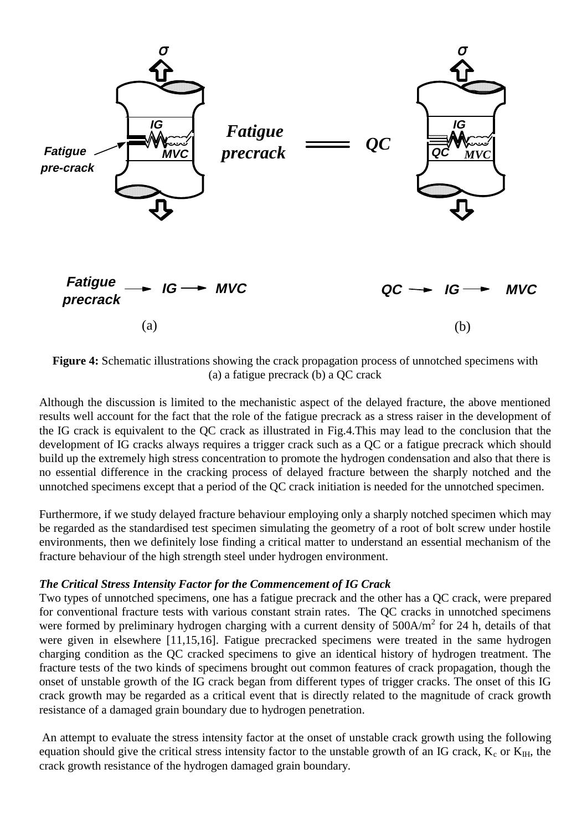

**Figure 4:** Schematic illustrations showing the crack propagation process of unnotched specimens with (a) a fatigue precrack (b) a QC crack

Although the discussion is limited to the mechanistic aspect of the delayed fracture, the above mentioned results well account for the fact that the role of the fatigue precrack as a stress raiser in the development of the IG crack is equivalent to the QC crack as illustrated in Fig.4.This may lead to the conclusion that the development of IG cracks always requires a trigger crack such as a QC or a fatigue precrack which should build up the extremely high stress concentration to promote the hydrogen condensation and also that there is no essential difference in the cracking process of delayed fracture between the sharply notched and the unnotched specimens except that a period of the QC crack initiation is needed for the unnotched specimen.

Furthermore, if we study delayed fracture behaviour employing only a sharply notched specimen which may be regarded as the standardised test specimen simulating the geometry of a root of bolt screw under hostile environments, then we definitely lose finding a critical matter to understand an essential mechanism of the fracture behaviour of the high strength steel under hydrogen environment.

### *The Critical Stress Intensity Factor for the Commencement of IG Crack*

Two types of unnotched specimens, one has a fatigue precrack and the other has a QC crack, were prepared for conventional fracture tests with various constant strain rates. The QC cracks in unnotched specimens were formed by preliminary hydrogen charging with a current density of  $500A/m<sup>2</sup>$  for 24 h, details of that were given in elsewhere [11,15,16]. Fatigue precracked specimens were treated in the same hydrogen charging condition as the QC cracked specimens to give an identical history of hydrogen treatment. The fracture tests of the two kinds of specimens brought out common features of crack propagation, though the onset of unstable growth of the IG crack began from different types of trigger cracks. The onset of this IG crack growth may be regarded as a critical event that is directly related to the magnitude of crack growth resistance of a damaged grain boundary due to hydrogen penetration.

 An attempt to evaluate the stress intensity factor at the onset of unstable crack growth using the following equation should give the critical stress intensity factor to the unstable growth of an IG crack,  $K_c$  or  $K_H$ , the crack growth resistance of the hydrogen damaged grain boundary.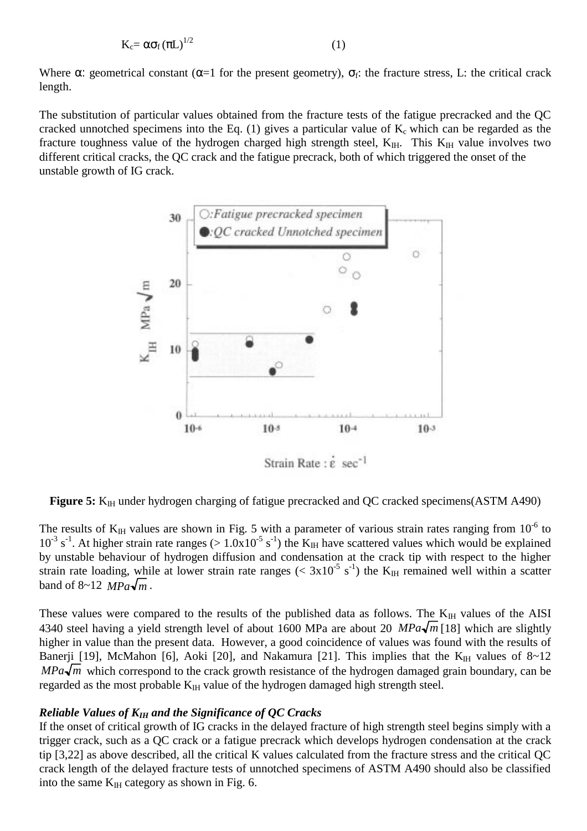$$
K_c = \alpha \sigma_f (\pi L)^{1/2}
$$
 (1)

Where  $\alpha$ : geometrical constant ( $\alpha=1$  for the present geometry),  $\sigma_f$ : the fracture stress, L: the critical crack length.

The substitution of particular values obtained from the fracture tests of the fatigue precracked and the QC cracked unnotched specimens into the Eq. (1) gives a particular value of  $K_c$  which can be regarded as the fracture toughness value of the hydrogen charged high strength steel,  $K_{I}$ . This  $K_{II}$  value involves two different critical cracks, the QC crack and the fatigue precrack, both of which triggered the onset of the unstable growth of IG crack.



Figure 5: K<sub>IH</sub> under hydrogen charging of fatigue precracked and QC cracked specimens(ASTM A490)

The results of  $K<sub>IH</sub>$  values are shown in Fig. 5 with a parameter of various strain rates ranging from 10<sup>-6</sup> to  $10^{-3}$  s<sup>-1</sup>. At higher strain rate ranges ( $> 1.0x10^{-5}$  s<sup>-1</sup>) the K<sub>IH</sub> have scattered values which would be explained by unstable behaviour of hydrogen diffusion and condensation at the crack tip with respect to the higher strain rate loading, while at lower strain rate ranges (<  $3x10^{-5}$  s<sup>-1</sup>) the K<sub>IH</sub> remained well within a scatter band of  $8~12$  *MPa* $\sqrt{m}$ .

These values were compared to the results of the published data as follows. The  $K_{\text{IH}}$  values of the AISI 4340 steel having a yield strength level of about 1600 MPa are about 20  $MPa\sqrt{m}$  [18] which are slightly higher in value than the present data. However, a good coincidence of values was found with the results of Banerji [19], McMahon [6], Aoki [20], and Nakamura [21]. This implies that the  $K_H$  values of  $8~12$  $MPa\sqrt{m}$  which correspond to the crack growth resistance of the hydrogen damaged grain boundary, can be regarded as the most probable  $K_{\text{H}}$  value of the hydrogen damaged high strength steel.

### *Reliable Values of KIH and the Significance of QC Cracks*

If the onset of critical growth of IG cracks in the delayed fracture of high strength steel begins simply with a trigger crack, such as a QC crack or a fatigue precrack which develops hydrogen condensation at the crack tip [3,22] as above described, all the critical K values calculated from the fracture stress and the critical QC crack length of the delayed fracture tests of unnotched specimens of ASTM A490 should also be classified into the same  $K<sub>IH</sub>$  category as shown in Fig. 6.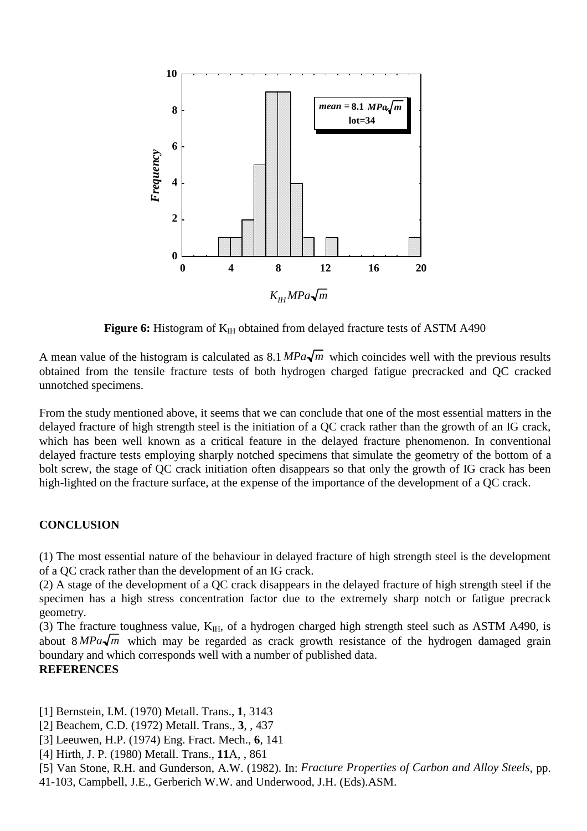

**Figure 6:** Histogram of K<sub>IH</sub> obtained from delayed fracture tests of ASTM A490

A mean value of the histogram is calculated as  $8.1 \, MPa \sqrt{m}$  which coincides well with the previous results obtained from the tensile fracture tests of both hydrogen charged fatigue precracked and QC cracked unnotched specimens.

From the study mentioned above, it seems that we can conclude that one of the most essential matters in the delayed fracture of high strength steel is the initiation of a QC crack rather than the growth of an IG crack, which has been well known as a critical feature in the delayed fracture phenomenon. In conventional delayed fracture tests employing sharply notched specimens that simulate the geometry of the bottom of a bolt screw, the stage of QC crack initiation often disappears so that only the growth of IG crack has been high-lighted on the fracture surface, at the expense of the importance of the development of a QC crack.

## **CONCLUSION**

(1) The most essential nature of the behaviour in delayed fracture of high strength steel is the development of a QC crack rather than the development of an IG crack.

(2) A stage of the development of a QC crack disappears in the delayed fracture of high strength steel if the specimen has a high stress concentration factor due to the extremely sharp notch or fatigue precrack geometry.

(3) The fracture toughness value,  $K<sub>IH</sub>$ , of a hydrogen charged high strength steel such as ASTM A490, is about  $8 MPa\sqrt{m}$  which may be regarded as crack growth resistance of the hydrogen damaged grain boundary and which corresponds well with a number of published data.

## **REFERENCES**

[1] Bernstein, I.M. (1970) Metall. Trans., **1**, 3143

- [2] Beachem, C.D. (1972) Metall. Trans., **3**, , 437
- [3] Leeuwen, H.P. (1974) Eng. Fract. Mech., **6**, 141
- [4] Hirth, J. P. (1980) Metall. Trans., **11**A, , 861

[5] Van Stone, R.H. and Gunderson, A.W. (1982). In: *Fracture Properties of Carbon and Alloy Steels*, pp.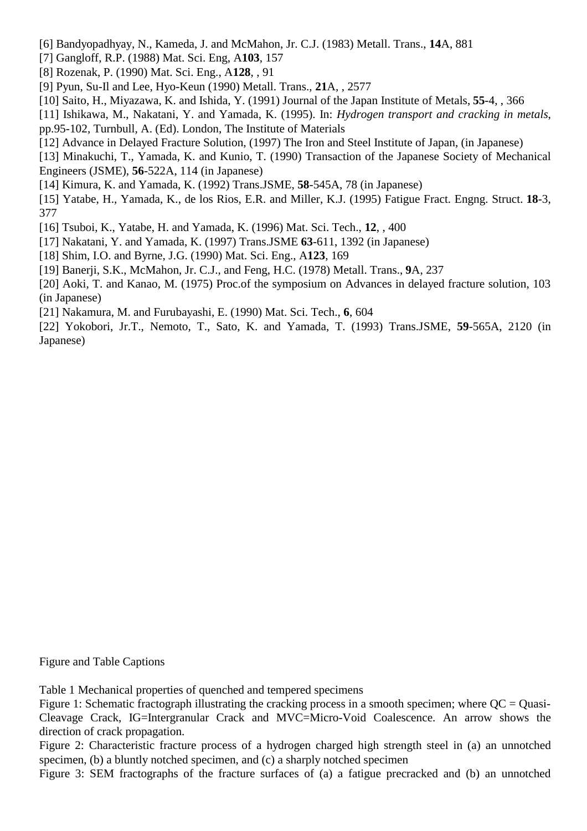- [6] Bandyopadhyay, N., Kameda, J. and McMahon, Jr. C.J. (1983) Metall. Trans., **14**A, 881
- [7] Gangloff, R.P. (1988) Mat. Sci. Eng, A**103**, 157
- [8] Rozenak, P. (1990) Mat. Sci. Eng., A**128**, , 91
- [9] Pyun, Su-Il and Lee, Hyo-Keun (1990) Metall. Trans., **21**A, , 2577
- [10] Saito, H., Miyazawa, K. and Ishida, Y. (1991) Journal of the Japan Institute of Metals, **55**-4, , 366
- [11] Ishikawa, M., Nakatani, Y. and Yamada, K. (1995). In: *Hydrogen transport and cracking in metals*, pp.95-102, Turnbull, A. (Ed). London, The Institute of Materials
- [12] Advance in Delayed Fracture Solution, (1997) The Iron and Steel Institute of Japan, (in Japanese)
- [13] Minakuchi, T., Yamada, K. and Kunio, T. (1990) Transaction of the Japanese Society of Mechanical Engineers (JSME), **56**-522A, 114 (in Japanese)
- [14] Kimura, K. and Yamada, K. (1992) Trans.JSME, **58**-545A, 78 (in Japanese)
- [15] Yatabe, H., Yamada, K., de los Rios, E.R. and Miller, K.J. (1995) Fatigue Fract. Engng. Struct. **18**-3, 377
- [16] Tsuboi, K., Yatabe, H. and Yamada, K. (1996) Mat. Sci. Tech., **12**, , 400
- [17] Nakatani, Y. and Yamada, K. (1997) Trans.JSME **63**-611, 1392 (in Japanese)
- [18] Shim, I.O. and Byrne, J.G. (1990) Mat. Sci. Eng., A**123**, 169
- [19] Banerji, S.K., McMahon, Jr. C.J., and Feng, H.C. (1978) Metall. Trans., **9**A, 237
- [20] Aoki, T. and Kanao, M. (1975) Proc.of the symposium on Advances in delayed fracture solution, 103 (in Japanese)
- [21] Nakamura, M. and Furubayashi, E. (1990) Mat. Sci. Tech., **6**, 604
- [22] Yokobori, Jr.T., Nemoto, T., Sato, K. and Yamada, T. (1993) Trans.JSME, **59**-565A, 2120 (in Japanese)

Figure and Table Captions

Table 1 Mechanical properties of quenched and tempered specimens

Figure 2: Characteristic fracture process of a hydrogen charged high strength steel in (a) an unnotched specimen, (b) a bluntly notched specimen, and (c) a sharply notched specimen

Figure 3: SEM fractographs of the fracture surfaces of (a) a fatigue precracked and (b) an unnotched

Figure 1: Schematic fractograph illustrating the cracking process in a smooth specimen; where  $OC = O$ uasi-Cleavage Crack, IG=Intergranular Crack and MVC=Micro-Void Coalescence. An arrow shows the direction of crack propagation.